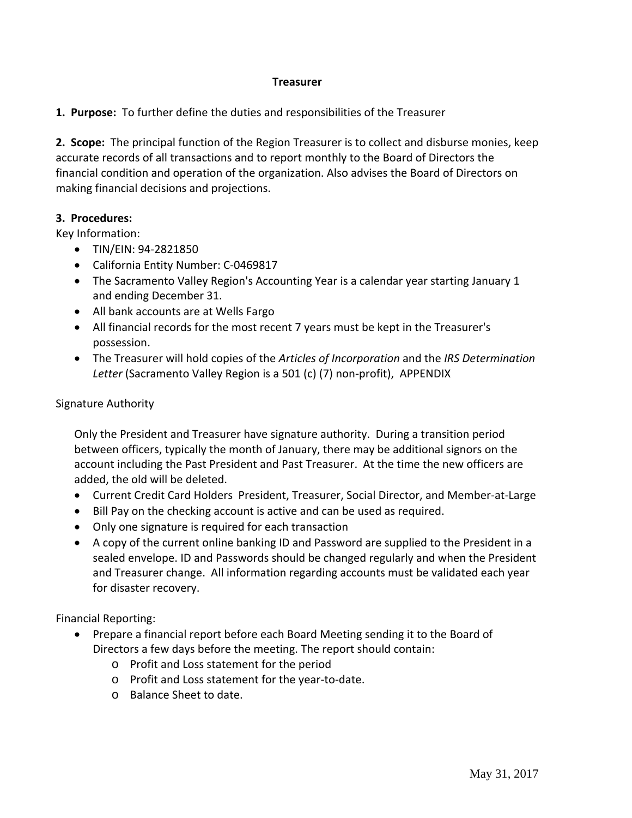## **Treasurer**

**1. Purpose:** To further define the duties and responsibilities of the Treasurer

**2. Scope:** The principal function of the Region Treasurer is to collect and disburse monies, keep accurate records of all transactions and to report monthly to the Board of Directors the financial condition and operation of the organization. Also advises the Board of Directors on making financial decisions and projections.

## **3. Procedures:**

Key Information:

- TIN/EIN: 94-2821850
- California Entity Number: C-0469817
- The Sacramento Valley Region's Accounting Year is a calendar year starting January 1 and ending December 31.
- All bank accounts are at Wells Fargo
- All financial records for the most recent 7 years must be kept in the Treasurer's possession.
- The Treasurer will hold copies of the *Articles of Incorporation* and the *IRS Determination Letter* (Sacramento Valley Region is a 501 (c) (7) non‐profit), APPENDIX

## Signature Authority

Only the President and Treasurer have signature authority. During a transition period between officers, typically the month of January, there may be additional signors on the account including the Past President and Past Treasurer. At the time the new officers are added, the old will be deleted.

- Current Credit Card Holders President, Treasurer, Social Director, and Member-at-Large
- Bill Pay on the checking account is active and can be used as required.
- Only one signature is required for each transaction
- A copy of the current online banking ID and Password are supplied to the President in a sealed envelope. ID and Passwords should be changed regularly and when the President and Treasurer change. All information regarding accounts must be validated each year for disaster recovery.

Financial Reporting:

- Prepare a financial report before each Board Meeting sending it to the Board of Directors a few days before the meeting. The report should contain:
	- o Profit and Loss statement for the period
	- o Profit and Loss statement for the year‐to‐date.
	- o Balance Sheet to date.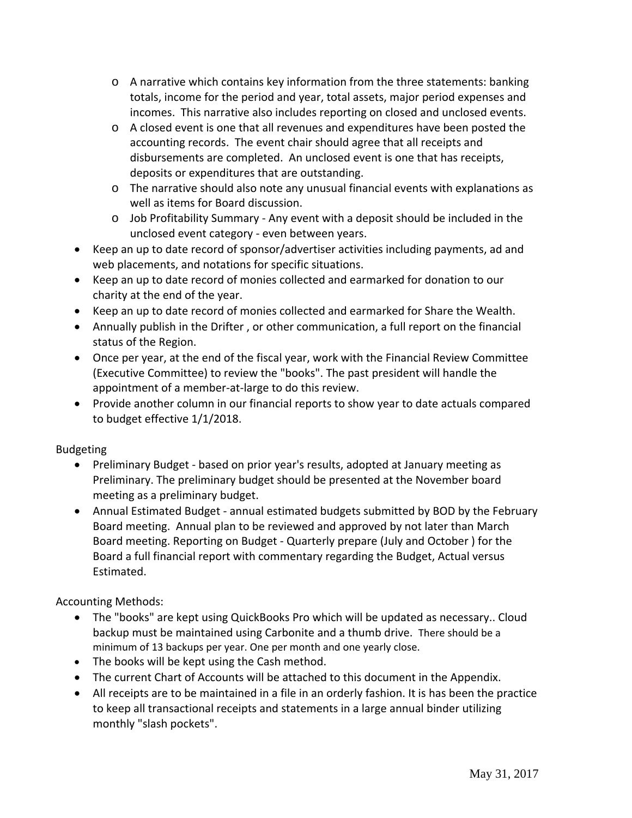- $\circ$  A narrative which contains key information from the three statements: banking totals, income for the period and year, total assets, major period expenses and incomes. This narrative also includes reporting on closed and unclosed events.
- o A closed event is one that all revenues and expenditures have been posted the accounting records. The event chair should agree that all receipts and disbursements are completed. An unclosed event is one that has receipts, deposits or expenditures that are outstanding.
- $\circ$  The narrative should also note any unusual financial events with explanations as well as items for Board discussion.
- o Job Profitability Summary ‐ Any event with a deposit should be included in the unclosed event category ‐ even between years.
- Keep an up to date record of sponsor/advertiser activities including payments, ad and web placements, and notations for specific situations.
- Keep an up to date record of monies collected and earmarked for donation to our charity at the end of the year.
- Keep an up to date record of monies collected and earmarked for Share the Wealth.
- Annually publish in the Drifter , or other communication, a full report on the financial status of the Region.
- Once per year, at the end of the fiscal year, work with the Financial Review Committee (Executive Committee) to review the "books". The past president will handle the appointment of a member‐at‐large to do this review.
- Provide another column in our financial reports to show year to date actuals compared to budget effective 1/1/2018.

## Budgeting

- Preliminary Budget ‐ based on prior year's results, adopted at January meeting as Preliminary. The preliminary budget should be presented at the November board meeting as a preliminary budget.
- Annual Estimated Budget annual estimated budgets submitted by BOD by the February Board meeting. Annual plan to be reviewed and approved by not later than March Board meeting. Reporting on Budget ‐ Quarterly prepare (July and October ) for the Board a full financial report with commentary regarding the Budget, Actual versus Estimated.

Accounting Methods:

- The "books" are kept using QuickBooks Pro which will be updated as necessary.. Cloud backup must be maintained using Carbonite and a thumb drive. There should be a minimum of 13 backups per year. One per month and one yearly close.
- The books will be kept using the Cash method.
- The current Chart of Accounts will be attached to this document in the Appendix.
- All receipts are to be maintained in a file in an orderly fashion. It is has been the practice to keep all transactional receipts and statements in a large annual binder utilizing monthly "slash pockets".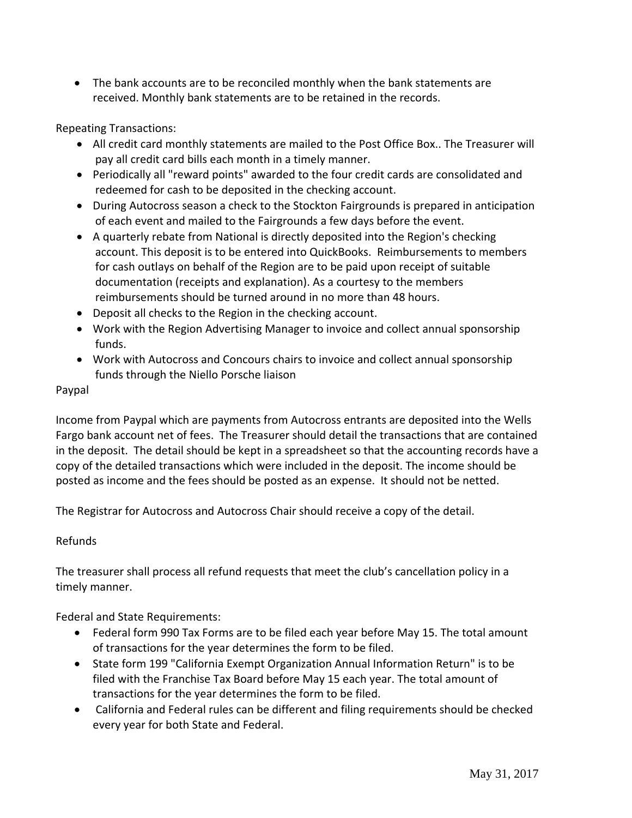The bank accounts are to be reconciled monthly when the bank statements are received. Monthly bank statements are to be retained in the records.

Repeating Transactions:

- All credit card monthly statements are mailed to the Post Office Box.. The Treasurer will pay all credit card bills each month in a timely manner.
- Periodically all "reward points" awarded to the four credit cards are consolidated and redeemed for cash to be deposited in the checking account.
- During Autocross season a check to the Stockton Fairgrounds is prepared in anticipation of each event and mailed to the Fairgrounds a few days before the event.
- A quarterly rebate from National is directly deposited into the Region's checking account. This deposit is to be entered into QuickBooks. Reimbursements to members for cash outlays on behalf of the Region are to be paid upon receipt of suitable documentation (receipts and explanation). As a courtesy to the members reimbursements should be turned around in no more than 48 hours.
- Deposit all checks to the Region in the checking account.
- Work with the Region Advertising Manager to invoice and collect annual sponsorship funds.
- Work with Autocross and Concours chairs to invoice and collect annual sponsorship funds through the Niello Porsche liaison

## Paypal

Income from Paypal which are payments from Autocross entrants are deposited into the Wells Fargo bank account net of fees. The Treasurer should detail the transactions that are contained in the deposit. The detail should be kept in a spreadsheet so that the accounting records have a copy of the detailed transactions which were included in the deposit. The income should be posted as income and the fees should be posted as an expense. It should not be netted.

The Registrar for Autocross and Autocross Chair should receive a copy of the detail.

## Refunds

The treasurer shall process all refund requests that meet the club's cancellation policy in a timely manner.

Federal and State Requirements:

- Federal form 990 Tax Forms are to be filed each year before May 15. The total amount of transactions for the year determines the form to be filed.
- State form 199 "California Exempt Organization Annual Information Return" is to be filed with the Franchise Tax Board before May 15 each year. The total amount of transactions for the year determines the form to be filed.
- California and Federal rules can be different and filing requirements should be checked every year for both State and Federal.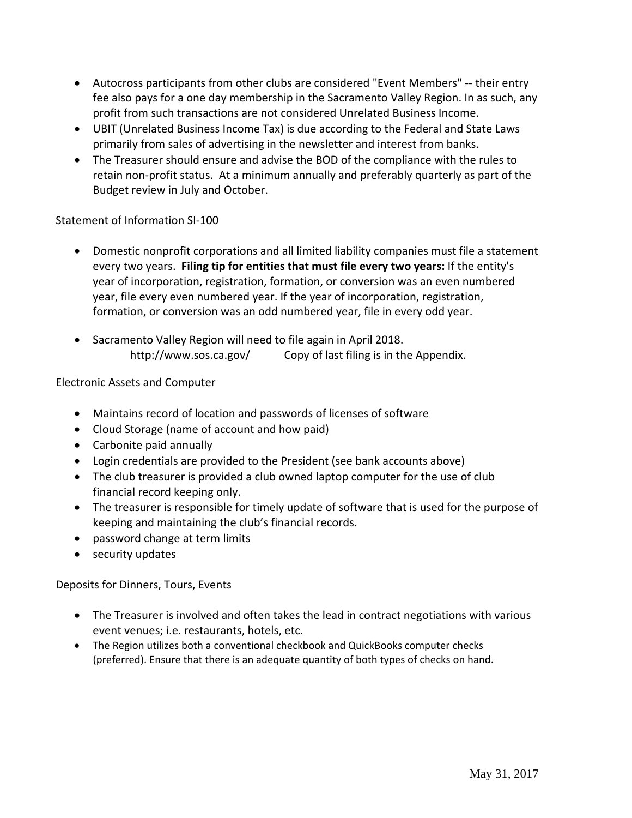- Autocross participants from other clubs are considered "Event Members" ‐‐ their entry fee also pays for a one day membership in the Sacramento Valley Region. In as such, any profit from such transactions are not considered Unrelated Business Income.
- UBIT (Unrelated Business Income Tax) is due according to the Federal and State Laws primarily from sales of advertising in the newsletter and interest from banks.
- The Treasurer should ensure and advise the BOD of the compliance with the rules to retain non‐profit status. At a minimum annually and preferably quarterly as part of the Budget review in July and October.

## Statement of Information SI‐100

- Domestic nonprofit corporations and all limited liability companies must file a statement every two years. **Filing tip for entities that must file every two years:** If the entity's year of incorporation, registration, formation, or conversion was an even numbered year, file every even numbered year. If the year of incorporation, registration, formation, or conversion was an odd numbered year, file in every odd year.
- Sacramento Valley Region will need to file again in April 2018. http://www.sos.ca.gov/ Copy of last filing is in the Appendix.

## Electronic Assets and Computer

- Maintains record of location and passwords of licenses of software
- Cloud Storage (name of account and how paid)
- Carbonite paid annually
- Login credentials are provided to the President (see bank accounts above)
- The club treasurer is provided a club owned laptop computer for the use of club financial record keeping only.
- The treasurer is responsible for timely update of software that is used for the purpose of keeping and maintaining the club's financial records.
- password change at term limits
- security updates

## Deposits for Dinners, Tours, Events

- The Treasurer is involved and often takes the lead in contract negotiations with various event venues; i.e. restaurants, hotels, etc.
- The Region utilizes both a conventional checkbook and QuickBooks computer checks (preferred). Ensure that there is an adequate quantity of both types of checks on hand.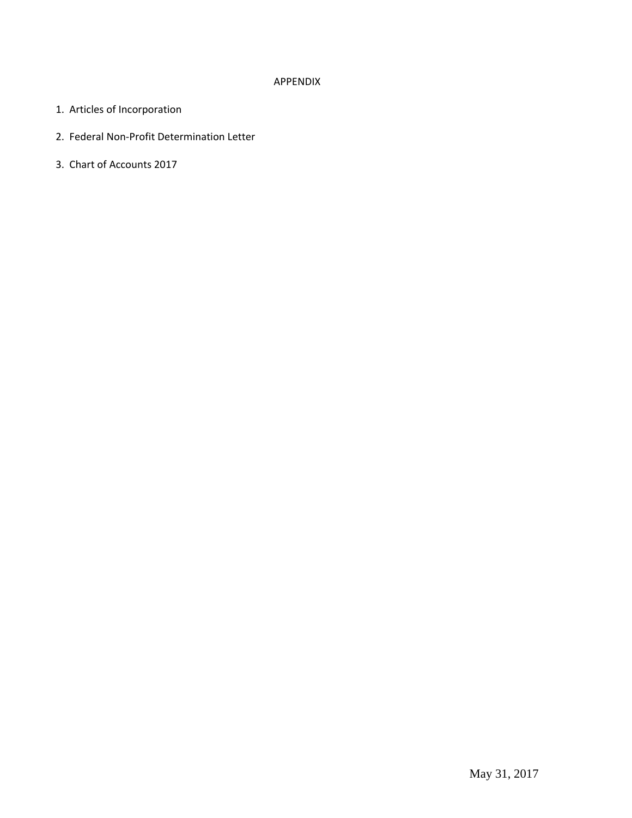### APPENDIX

- 1. Articles of Incorporation
- 2. Federal Non‐Profit Determination Letter
- 3. Chart of Accounts 2017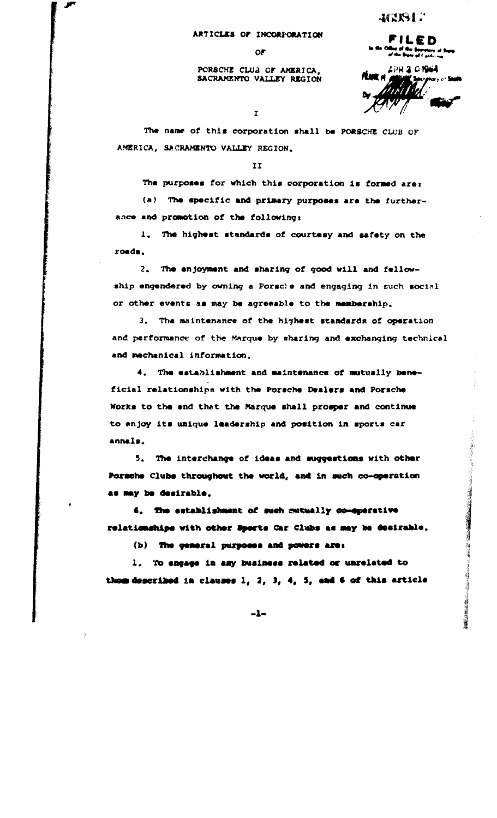#### ARTICLES OF INCORPORATION

0F

#### PORSCHE CLUB OF AMERICA, SACRAMENTO VALLEY REGION

FILED

40817

nede ar Wir Baarstary af Sugg.<br>A<sup>f ska</sup> Date af Caidwras APH 3 0 1964 ftaar a

のまいには のかの

 $\mathbf{r}$ 

The name of this corporation shall be PORSCHE CLUB OF AMERICA, SACRAMENTO VALLEY REGION.

II

The purposes for which this corporation is formed are: (a) The specific and primary purposes are the furtherance and promotion of the following:

The highest standards of courtesy and safety on the  $\mathbf{1}$ . roads.

2. The enjoyment and sharing of good will and fellowship engendered by owning a Porsche and engaging in such social or other events as may be agreeable to the membership.

3. The maintenance of the highest standards of operation and performance of the Marque by sharing and exchanging technical and mechanical information.

4. The establishment and maintenance of mutually beneficial relationships with the Porsche Dealers and Porsche Works to the end that the Marque shall prosper and continue to enjoy its unique leadership and position in sports car annals.

5. The interchange of ideas and suggestions with other Pormshe Clubs throughout the world, and in such co-operation as may be desirable.

6. The establishment of such mutually co-sperative relationships with other Sports Car Clubs as may be desirable.

(b) The general purposes and powers are:

1. To engage in any business related or unrelated to thom described in clauses 1, 2, 3, 4, 5, and 6 of this article

 $-1-$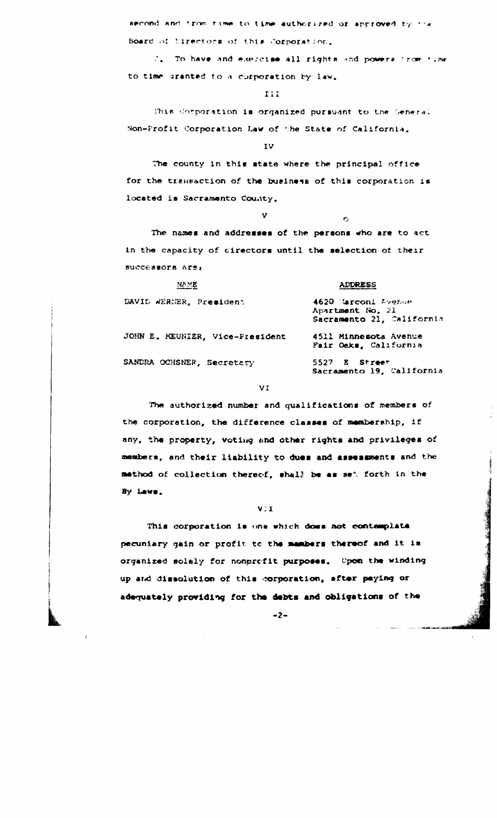second and from time to time authorized or approved by the Board of Ulrectors of this Corporation.

2. To have and exercise all rights and powers from time to time granted to a corporation by law.

III.

This Corporation is organized pursuant to the Seneral Non-Profit Corporation Law of the State of California.

IV

v.

The county in this state where the principal office for the transaction of the business of this corporation is located is Sacramento County.

 $\sigma$ 

The names and addresses of the persons who are to act in the capacity of cirectors until the selection of their successors are:

| NA ME                           | <b>ADDRESS</b>                                                       |  |
|---------------------------------|----------------------------------------------------------------------|--|
| DAVID WERNER, President         | 4620 Marconi Avenue<br>Apartment No. 21<br>Sacramento 21, California |  |
| JOHN E. MEUNIER, Vice-President | 4511 Minnesota Avenue<br>Fair Oaks, California                       |  |
| SANDRA OCHSNER, Secretary       | 5527 E Street<br>Sacramento 19, California                           |  |

VI

The authorized number and qualifications of members of the corporation, the difference classes of membership, if any, the property, voting and other rights and privileges of members, and their liability to dues and assessments and the method of collection thereof, shall be as set forth in the By Laws.

### VII.

This corporation is one which does not contemplate pecuniary gain or profit to the members thereof and it is organized solely for nonprofit purposes. Upon the winding up and dissolution of this corporation, after paying or adequately providing for the debts and obligations of the

 $-2-$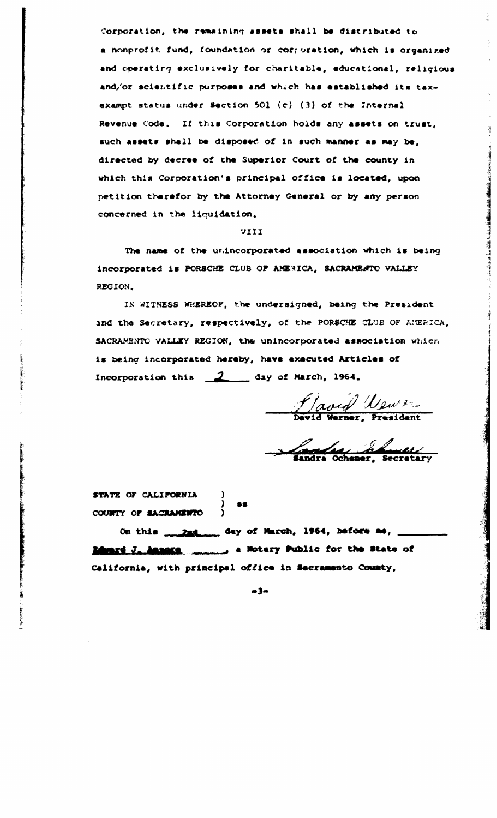Corporation, the remaining assets shall be distributed to a nonprofit fund, foundation or corroration, which is organized and operating exclusively for charitable, educational, religious and/or scientific purposes and which has established its taxexampt status under Section 501 (c) (3) of the Internal Revenue Code. If this Corporation holds any assets on trust, such assets shall be disposed of in such manner as may be, directed by decree of the Superior Court of the county in which this Corporation's principal office is located, upon petition therefor by the Attorney General or by any person concerned in the liquidation.

#### VIII

The name of the unincorporated association which is being incorporated is PORSCHE CLUB OF AMERICA, SACRAMENTO VALLEY REGION.

IN WITNESS WHEREOF, the undersigned, being the President and the Secretary, respectively, of the PORSCHE CLUB OF AMERICA, SACRAMENTO VALLEY REGION, the unincorporated association which is being incorporated hereby, have executed Articles of Incorporation this 2 day of March, 1964.

Raved Wews

Camero de Comercio

STATE OF CALIFORNIA COUNTY OF SACRAMENTO

**ANGERSHA** 

On this \_\_\_\_\_\_\_\_\_\_\_\_\_\_ day of March, 1964, hefore me, California, with principal office in Sacramento County,

-86

 $m3m$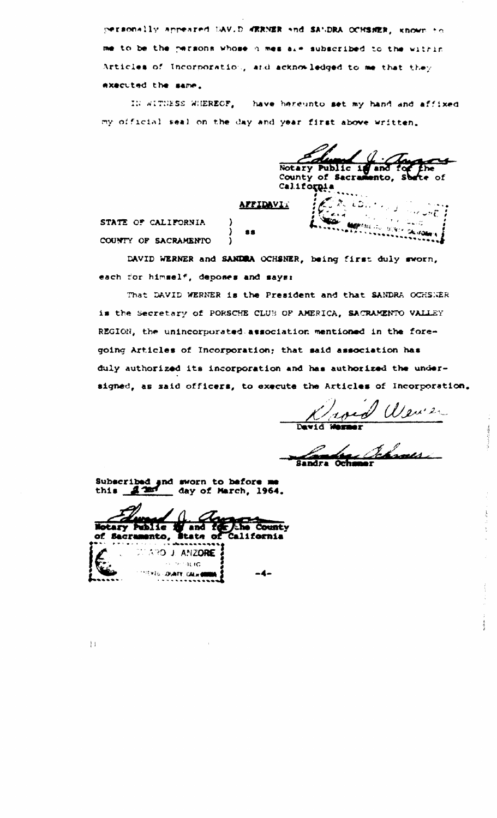personally appeared UAV.D WERNER and SANDRA OCHSNER, known to me to be the persons whose n mes alm subscribed to the within Articles of Incorporation, and acknowledged to me that they exacuted the same.

IN WITHESS WHEREOF, have hereunto set my hand and affixed my official seal on the day and year first above written.

Notary Public 1 County of Sacras of California **APPIDAVIA** STATE OF CALIFORNIA  $\mathbf{a}$ COUNTY OF SACRAMENTO  $\lambda$ 

DAVID WERNER and SANDRA OCHSNER, being first duly sworn, each for himself, deposes and says:

That DAVID WERNER is the President and that SANDRA OCHSNER is the Secretary of PORSCHE CLUB OF AMERICA, SACRAMENTO VALLEY REGION, the unincorporated association mentioned in the foregoing Articles of Incorporation; that said association has duly authorized its incorporation and has authorized the undersigned, as said officers, to execute the Articles of Incorporation.

Kroed Wewer

Sandra Ochse

Subscribed and sworn to before me 1nd day of March, 1964. this

**Notary Public** *Che County* and of Sacramento, State of California DERICINAL LOPA **CONTACIO** *EXTG DUNTY CALHOM*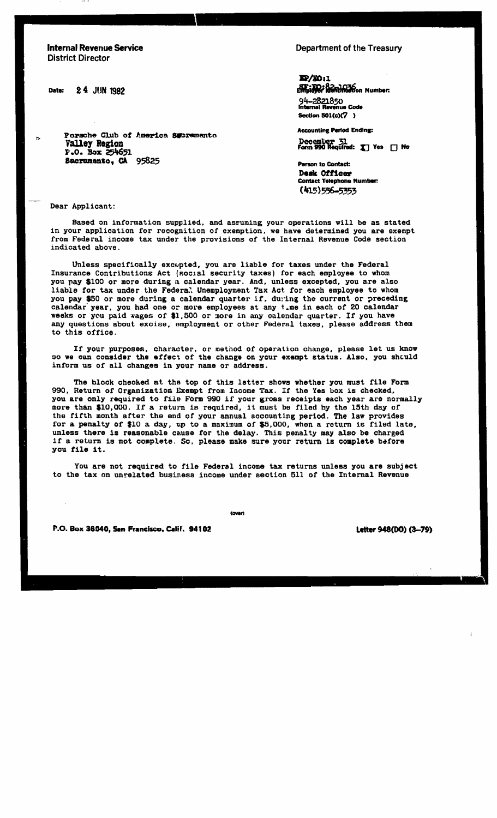**Internal Revenue Service District Director** 

24 JUN 1982 Date:

 $\triangleright$ 

Department of the Treasury

 $\mathbf{E} \times 1$ **ST: TO: Remine to Number:** 

94-2821850 **Internal Revenue Code** Section 501(c)(7)

**Accounting Period Ending:** 

December 31<br>Form 990 Required: X Yes [] No

**Person to Contact:** Desk Officer **Contact Telephone Number:** (415) 556-5353

Valley Region P.O. Box 254651 Sacramento, CA 95825

Porsche Club of America Secremento

Dear Applicant:

Based on information supplied, and assuming your operations will be as stated in your application for recognition of exemption, we have determined you are exempt from Federal income tax under the provisions of the Internal Revenue Code section indicated above.

Unless specifically excepted, you are liable for taxes under the Federal Insurance Contributions Act (social security taxes) for each employee to whom you pay \$100 or more during a calendar year. And, unless excepted, you are also liable for tax under the Federal Unemployment Tax Act for each employee to whom you pay \$50 or more during a calendar quarter if, during the current or preceding calendar year, you had one or more employees at any time in each of 20 calendar weeks or you paid wages of \$1,500 or more in any calendar quarter. If you have any questions about excise, employment or other Federal taxes, please address them to this office.

If your purposes, character, or method of operation change, please let us know so we can consider the effect of the change on your exempt status. Also, you should inform us of all changes in your name or address.

The block checked at the top of this letter shows whether you must file Form 990. Return of Organization Exempt from Income Tax. If the Yes box is checked. you are only required to file Form 990 if your gross receipts each year are normally more than \$10,000. If a return is required, it must be filed by the 15th day of the fifth month after the end of your annual accounting period. The law provides for a penalty of \$10 a day, up to a maximum of \$5,000, when a return is filed late, unless there is reasonable cause for the delay. This penalty may also be charged if a return is not complete. So, please make sure your return is complete before you file it.

You are not required to file Federal income tax returns unless you are subject to the tax on unrelated business income under section 511 of the Internal Revenue

(over)

P.O. Box 36040, San Francisco, Calif. 94102

Letter 948(DO) (3-79)

 $\mathbf{I}$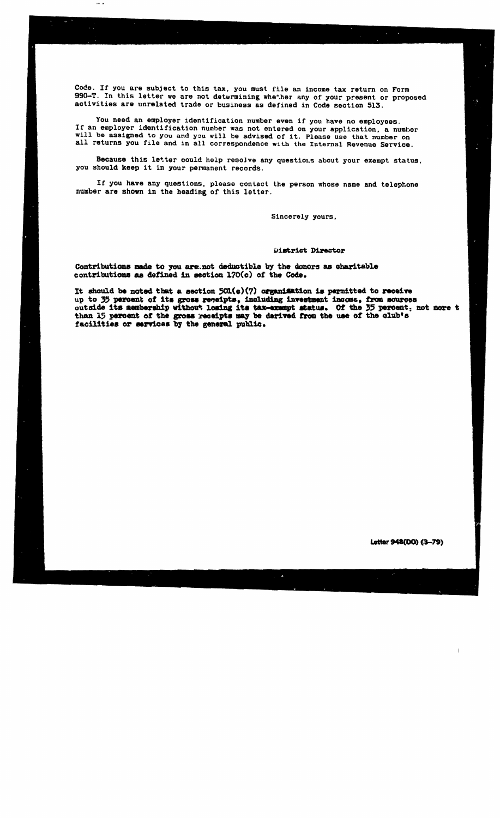Code. If you are subject to this tax, you must file an income tax return on Form 990-T. In this letter we are not determining whether any of your present or proposed activities are unrelated trade or business as defined in Code section 513.

 $\overline{a}$ 

You need an employer identification number even if you have no employees. If an employer identification number was not entered on your application, a numbor will be assigned to you and you will be advised of it. Please use that number on all returns you file and in all correspondence with the Internal Revenue Service.

Because this letter could help resolve any questions about your exempt status. you should keep it in your permanent records.

If you have any questions, please contact the person whose name and telephone number are shown in the heading of this letter.

Sincerely yours.

#### District Director

Contributions made to you aremot deductible by the donors as charitable contributions as defined in section 170(c) of the Code.

It should be noted that a section  $501(c)(7)$  organisation is permitted to receive up to 35 percent of its gross receipts, including investment income, from sources outside its membership without losing its tax-exempt status. Of the 35 percent, not more t than 15 percent of the gross receipts may be derived from the use of the club's facilities or services by the general public.

Δ

Letter 948(DO) (3-79)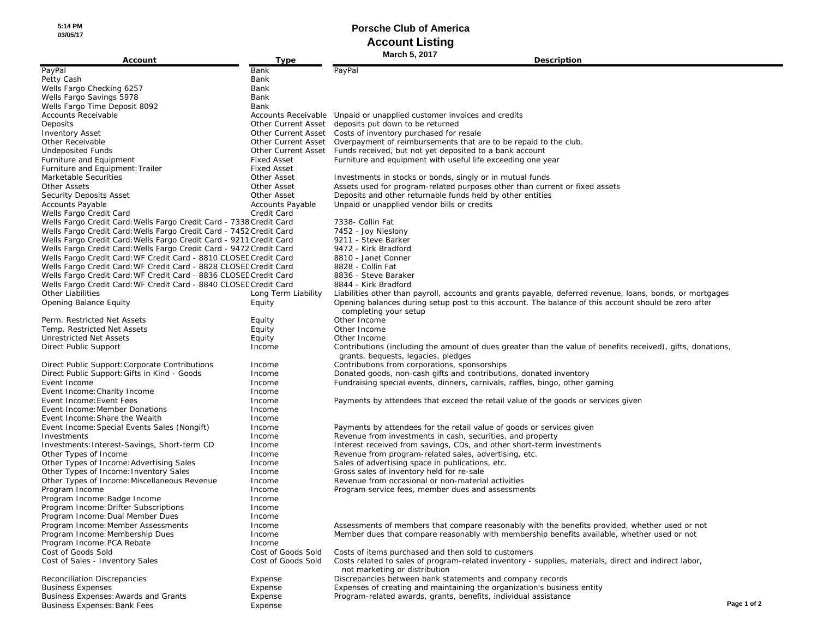**5:14 PM 03/05/17**

# **Porsche Club of America Account Listing**

| Account                                                             | Type                | <b>March 5, 2017</b><br>Description                                                                                 |             |
|---------------------------------------------------------------------|---------------------|---------------------------------------------------------------------------------------------------------------------|-------------|
| PayPal                                                              | Bank                | PayPal                                                                                                              |             |
| Petty Cash                                                          | Bank                |                                                                                                                     |             |
|                                                                     |                     |                                                                                                                     |             |
| Wells Fargo Checking 6257<br>Wells Fargo Savings 5978               | Bank<br>Bank        |                                                                                                                     |             |
| Wells Fargo Time Deposit 8092                                       | Bank                |                                                                                                                     |             |
| <b>Accounts Receivable</b>                                          |                     |                                                                                                                     |             |
|                                                                     |                     | Accounts Receivable Unpaid or unapplied customer invoices and credits                                               |             |
| Deposits                                                            |                     | Other Current Asset deposits put down to be returned<br>Other Current Asset Costs of inventory purchased for resale |             |
| <b>Inventory Asset</b><br>Other Receivable                          |                     | Other Current Asset Overpayment of reimbursements that are to be repaid to the club.                                |             |
| <b>Undeposited Funds</b>                                            | Other Current Asset | Funds received, but not yet deposited to a bank account                                                             |             |
| Furniture and Equipment                                             | <b>Fixed Asset</b>  | Furniture and equipment with useful life exceeding one year                                                         |             |
| Furniture and Equipment: Trailer                                    | <b>Fixed Asset</b>  |                                                                                                                     |             |
| Marketable Securities                                               | Other Asset         | Investments in stocks or bonds, singly or in mutual funds                                                           |             |
| <b>Other Assets</b>                                                 | Other Asset         | Assets used for program-related purposes other than current or fixed assets                                         |             |
| Security Deposits Asset                                             | Other Asset         | Deposits and other returnable funds held by other entities                                                          |             |
| <b>Accounts Payable</b>                                             | Accounts Payable    | Unpaid or unapplied vendor bills or credits                                                                         |             |
| Wells Fargo Credit Card                                             | Credit Card         |                                                                                                                     |             |
| Wells Fargo Credit Card: Wells Fargo Credit Card - 7338 Credit Card |                     | 7338- Collin Fat                                                                                                    |             |
| Wells Fargo Credit Card: Wells Fargo Credit Card - 7452 Credit Card |                     | 7452 - Joy Nieslony                                                                                                 |             |
| Wells Fargo Credit Card: Wells Fargo Credit Card - 9211 Credit Card |                     | 9211 - Steve Barker                                                                                                 |             |
| Wells Fargo Credit Card: Wells Fargo Credit Card - 9472 Credit Card |                     | 9472 - Kirk Bradford                                                                                                |             |
| Wells Fargo Credit Card: WF Credit Card - 8810 CLOSEE Credit Card   |                     | 8810 - Janet Conner                                                                                                 |             |
| Wells Fargo Credit Card: WF Credit Card - 8828 CLOSEL Credit Card   |                     | 8828 - Collin Fat                                                                                                   |             |
| Wells Fargo Credit Card: WF Credit Card - 8836 CLOSEE Credit Card   |                     | 8836 - Steve Baraker                                                                                                |             |
| Wells Fargo Credit Card: WF Credit Card - 8840 CLOSEE Credit Card   |                     | 8844 - Kirk Bradford                                                                                                |             |
| <b>Other Liabilities</b>                                            | Long Term Liability | Liabilities other than payroll, accounts and grants payable, deferred revenue, loans, bonds, or mortgages           |             |
| <b>Opening Balance Equity</b>                                       | Equity              | Opening balances during setup post to this account. The balance of this account should be zero after                |             |
|                                                                     |                     | completing your setup                                                                                               |             |
| Perm. Restricted Net Assets                                         | Equity              | Other Income                                                                                                        |             |
| Temp. Restricted Net Assets                                         | Equity              | Other Income                                                                                                        |             |
| <b>Unrestricted Net Assets</b>                                      | Equity              | Other Income                                                                                                        |             |
| Direct Public Support                                               | Income              | Contributions (including the amount of dues greater than the value of benefits received), gifts, donations,         |             |
|                                                                     |                     | grants, bequests, legacies, pledges                                                                                 |             |
| Direct Public Support: Corporate Contributions                      | Income              | Contributions from corporations, sponsorships                                                                       |             |
| Direct Public Support: Gifts in Kind - Goods                        | Income              | Donated goods, non-cash gifts and contributions, donated inventory                                                  |             |
| Event Income                                                        | Income              | Fundraising special events, dinners, carnivals, raffles, bingo, other gaming                                        |             |
| Event Income: Charity Income                                        | Income              |                                                                                                                     |             |
| Event Income: Event Fees                                            | Income              | Payments by attendees that exceed the retail value of the goods or services given                                   |             |
| Event Income: Member Donations                                      | Income              |                                                                                                                     |             |
| Event Income: Share the Wealth                                      | Income              |                                                                                                                     |             |
| Event Income: Special Events Sales (Nongift)                        | Income              | Payments by attendees for the retail value of goods or services given                                               |             |
| Investments                                                         | Income              | Revenue from investments in cash, securities, and property                                                          |             |
| Investments: Interest-Savings, Short-term CD                        | Income              | Interest received from savings, CDs, and other short-term investments                                               |             |
| Other Types of Income                                               | Income              | Revenue from program-related sales, advertising, etc.                                                               |             |
| Other Types of Income: Advertising Sales                            | Income              | Sales of advertising space in publications, etc.                                                                    |             |
| Other Types of Income: Inventory Sales                              | Income              | Gross sales of inventory held for re-sale                                                                           |             |
| Other Types of Income: Miscellaneous Revenue                        | Income              | Revenue from occasional or non-material activities                                                                  |             |
| Program Income                                                      | Income              | Program service fees, member dues and assessments                                                                   |             |
| Program Income: Badge Income                                        | Income              |                                                                                                                     |             |
| Program Income: Drifter Subscriptions                               | Income              |                                                                                                                     |             |
| Program Income: Dual Member Dues                                    | <b>Income</b>       |                                                                                                                     |             |
| Program Income: Member Assessments                                  | Income              | Assessments of members that compare reasonably with the benefits provided, whether used or not                      |             |
| Program Income: Membership Dues                                     | Income              | Member dues that compare reasonably with membership benefits available, whether used or not                         |             |
| Program Income: PCA Rebate                                          | Income              |                                                                                                                     |             |
| Cost of Goods Sold                                                  | Cost of Goods Sold  | Costs of items purchased and then sold to customers                                                                 |             |
| Cost of Sales - Inventory Sales                                     | Cost of Goods Sold  | Costs related to sales of program-related inventory - supplies, materials, direct and indirect labor,               |             |
|                                                                     |                     | not marketing or distribution                                                                                       |             |
| <b>Reconciliation Discrepancies</b>                                 | Expense             | Discrepancies between bank statements and company records                                                           |             |
| <b>Business Expenses</b>                                            | Expense             | Expenses of creating and maintaining the organization's business entity                                             |             |
| <b>Business Expenses: Awards and Grants</b>                         | Expense             | Program-related awards, grants, benefits, individual assistance                                                     | Page 1 of 2 |
| <b>Business Expenses: Bank Fees</b>                                 | Expense             |                                                                                                                     |             |